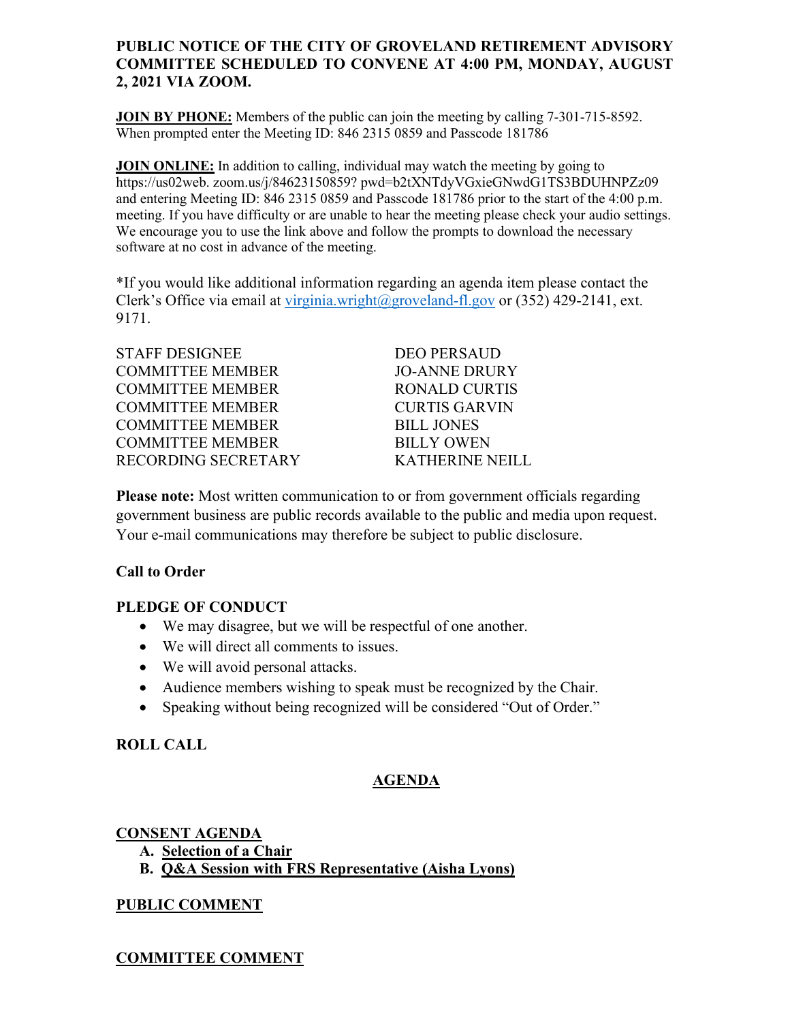### **PUBLIC NOTICE OF THE CITY OF GROVELAND RETIREMENT ADVISORY COMMITTEE SCHEDULED TO CONVENE AT 4:00 PM, MONDAY, AUGUST 2, 2021 VIA ZOOM.**

**JOIN BY PHONE:** Members of the public can join the meeting by calling 7-301-715-8592. When prompted enter the Meeting ID: 846 2315 0859 and Passcode 181786

**JOIN ONLINE:** In addition to calling, individual may watch the meeting by going to https://us02web. zoom.us/j/84623150859? pwd=b2tXNTdyVGxieGNwdG1TS3BDUHNPZz09 and entering Meeting ID: 846 2315 0859 and Passcode 181786 prior to the start of the 4:00 p.m. meeting. If you have difficulty or are unable to hear the meeting please check your audio settings. We encourage you to use the link above and follow the prompts to download the necessary software at no cost in advance of the meeting.

\*If you would like additional information regarding an agenda item please contact the Clerk's Office via email at [virginia.wright@groveland-fl.gov](mailto:virginia.wright@groveland-fl.gov) or (352) 429-2141, ext. 9171.

| <b>STAFF DESIGNEE</b>   |
|-------------------------|
| <b>COMMITTEE MEMBER</b> |
| <b>COMMITTEE MEMBER</b> |
| <b>COMMITTEE MEMBER</b> |
| <b>COMMITTEE MEMBER</b> |
| <b>COMMITTEE MEMBER</b> |
| RECORDING SECRETARY     |

DEO PERSAUD **JO-ANNE DRURY** RONALD CURTIS **CURTIS GARVIN BILL JONES BILLY OWEN** KATHERINE NEILL

**Please note:** Most written communication to or from government officials regarding government business are public records available to the public and media upon request. Your e-mail communications may therefore be subject to public disclosure.

### **Call to Order**

### **PLEDGE OF CONDUCT**

- We may disagree, but we will be respectful of one another.
- We will direct all comments to issues.
- We will avoid personal attacks.
- Audience members wishing to speak must be recognized by the Chair.
- Speaking without being recognized will be considered "Out of Order."

# **ROLL CALL**

# **AGENDA**

### **CONSENT AGENDA**

- **A. Selection of a Chair**
- **B. Q&A Session with FRS Representative (Aisha Lyons)**

# **PUBLIC COMMENT**

# **COMMITTEE COMMENT**